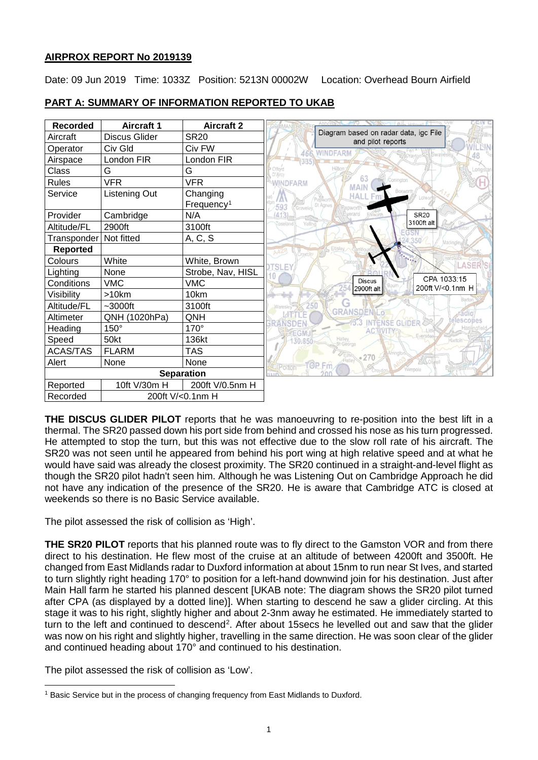# **AIRPROX REPORT No 2019139**

Date: 09 Jun 2019 Time: 1033Z Position: 5213N 00002W Location: Overhead Bourn Airfield



# **PART A: SUMMARY OF INFORMATION REPORTED TO UKAB**

**THE DISCUS GLIDER PILOT** reports that he was manoeuvring to re-position into the best lift in a thermal. The SR20 passed down his port side from behind and crossed his nose as his turn progressed. He attempted to stop the turn, but this was not effective due to the slow roll rate of his aircraft. The SR20 was not seen until he appeared from behind his port wing at high relative speed and at what he would have said was already the closest proximity. The SR20 continued in a straight-and-level flight as though the SR20 pilot hadn't seen him. Although he was Listening Out on Cambridge Approach he did not have any indication of the presence of the SR20. He is aware that Cambridge ATC is closed at weekends so there is no Basic Service available.

The pilot assessed the risk of collision as 'High'.

**THE SR20 PILOT** reports that his planned route was to fly direct to the Gamston VOR and from there direct to his destination. He flew most of the cruise at an altitude of between 4200ft and 3500ft. He changed from East Midlands radar to Duxford information at about 15nm to run near St Ives, and started to turn slightly right heading 170° to position for a left-hand downwind join for his destination. Just after Main Hall farm he started his planned descent [UKAB note: The diagram shows the SR20 pilot turned after CPA (as displayed by a dotted line)]. When starting to descend he saw a glider circling. At this stage it was to his right, slightly higher and about 2-3nm away he estimated. He immediately started to turn to the left and continued to descend<sup>[2](#page-0-1)</sup>. After about 15secs he levelled out and saw that the glider was now on his right and slightly higher, travelling in the same direction. He was soon clear of the glider and continued heading about 170° and continued to his destination.

The pilot assessed the risk of collision as 'Low'.

<span id="page-0-1"></span><span id="page-0-0"></span> $\overline{\phantom{a}}$ <sup>1</sup> Basic Service but in the process of changing frequency from East Midlands to Duxford.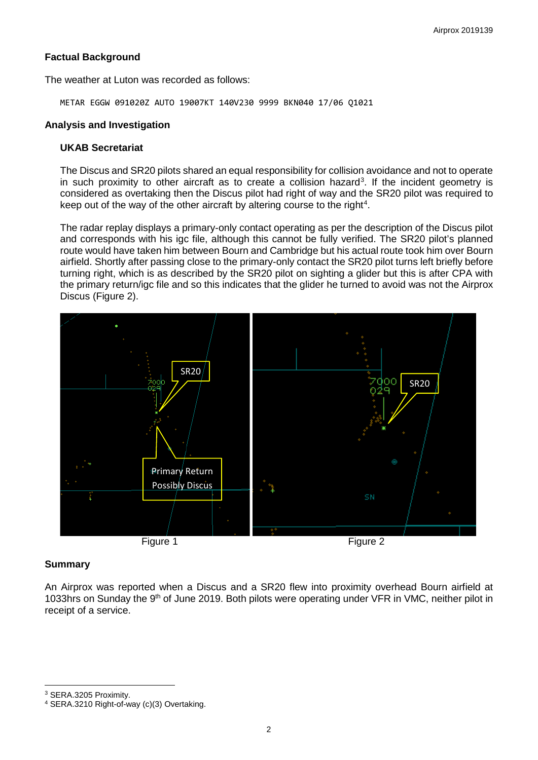## **Factual Background**

The weather at Luton was recorded as follows:

METAR EGGW 091020Z AUTO 19007KT 140V230 9999 BKN040 17/06 Q1021

### **Analysis and Investigation**

### **UKAB Secretariat**

The Discus and SR20 pilots shared an equal responsibility for collision avoidance and not to operate in such proximity to other aircraft as to create a collision hazard<sup>[3](#page-1-0)</sup>. If the incident geometry is considered as overtaking then the Discus pilot had right of way and the SR20 pilot was required to keep out of the way of the other aircraft by altering course to the right<sup>[4](#page-1-1)</sup>.

The radar replay displays a primary-only contact operating as per the description of the Discus pilot and corresponds with his igc file, although this cannot be fully verified. The SR20 pilot's planned route would have taken him between Bourn and Cambridge but his actual route took him over Bourn airfield. Shortly after passing close to the primary-only contact the SR20 pilot turns left briefly before turning right, which is as described by the SR20 pilot on sighting a glider but this is after CPA with the primary return/igc file and so this indicates that the glider he turned to avoid was not the Airprox Discus (Figure 2).





An Airprox was reported when a Discus and a SR20 flew into proximity overhead Bourn airfield at 1033hrs on Sunday the 9<sup>th</sup> of June 2019. Both pilots were operating under VFR in VMC, neither pilot in receipt of a service.

<span id="page-1-0"></span><sup>3</sup> SERA.3205 Proximity.

 $\overline{\phantom{a}}$ 

<span id="page-1-1"></span><sup>4</sup> SERA.3210 Right-of-way (c)(3) Overtaking.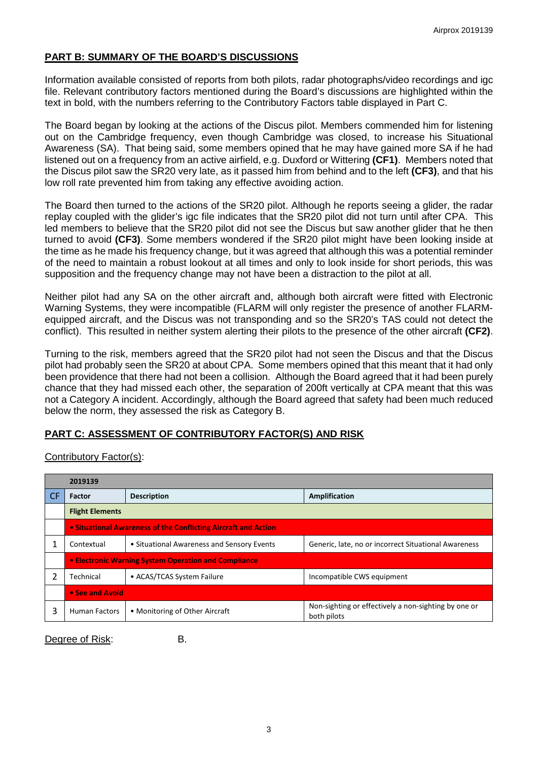# **PART B: SUMMARY OF THE BOARD'S DISCUSSIONS**

Information available consisted of reports from both pilots, radar photographs/video recordings and igc file. Relevant contributory factors mentioned during the Board's discussions are highlighted within the text in bold, with the numbers referring to the Contributory Factors table displayed in Part C.

The Board began by looking at the actions of the Discus pilot. Members commended him for listening out on the Cambridge frequency, even though Cambridge was closed, to increase his Situational Awareness (SA). That being said, some members opined that he may have gained more SA if he had listened out on a frequency from an active airfield, e.g. Duxford or Wittering **(CF1)**. Members noted that the Discus pilot saw the SR20 very late, as it passed him from behind and to the left **(CF3)**, and that his low roll rate prevented him from taking any effective avoiding action.

The Board then turned to the actions of the SR20 pilot. Although he reports seeing a glider, the radar replay coupled with the glider's igc file indicates that the SR20 pilot did not turn until after CPA. This led members to believe that the SR20 pilot did not see the Discus but saw another glider that he then turned to avoid **(CF3)**. Some members wondered if the SR20 pilot might have been looking inside at the time as he made his frequency change, but it was agreed that although this was a potential reminder of the need to maintain a robust lookout at all times and only to look inside for short periods, this was supposition and the frequency change may not have been a distraction to the pilot at all.

Neither pilot had any SA on the other aircraft and, although both aircraft were fitted with Electronic Warning Systems, they were incompatible (FLARM will only register the presence of another FLARMequipped aircraft, and the Discus was not transponding and so the SR20's TAS could not detect the conflict). This resulted in neither system alerting their pilots to the presence of the other aircraft **(CF2)**.

Turning to the risk, members agreed that the SR20 pilot had not seen the Discus and that the Discus pilot had probably seen the SR20 at about CPA. Some members opined that this meant that it had only been providence that there had not been a collision. Although the Board agreed that it had been purely chance that they had missed each other, the separation of 200ft vertically at CPA meant that this was not a Category A incident. Accordingly, although the Board agreed that safety had been much reduced below the norm, they assessed the risk as Category B.

## **PART C: ASSESSMENT OF CONTRIBUTORY FACTOR(S) AND RISK**

|           | 2019139                                                        |                                            |                                                                     |  |  |  |  |  |  |
|-----------|----------------------------------------------------------------|--------------------------------------------|---------------------------------------------------------------------|--|--|--|--|--|--|
| <b>CF</b> | Factor                                                         | <b>Description</b>                         | Amplification                                                       |  |  |  |  |  |  |
|           | <b>Flight Elements</b>                                         |                                            |                                                                     |  |  |  |  |  |  |
|           | • Situational Awareness of the Conflicting Aircraft and Action |                                            |                                                                     |  |  |  |  |  |  |
|           | Contextual                                                     | • Situational Awareness and Sensory Events | Generic, late, no or incorrect Situational Awareness                |  |  |  |  |  |  |
|           | • Electronic Warning System Operation and Compliance           |                                            |                                                                     |  |  |  |  |  |  |
|           | Technical                                                      | • ACAS/TCAS System Failure                 | Incompatible CWS equipment                                          |  |  |  |  |  |  |
|           | • See and Avoid                                                |                                            |                                                                     |  |  |  |  |  |  |
|           | <b>Human Factors</b>                                           | • Monitoring of Other Aircraft             | Non-sighting or effectively a non-sighting by one or<br>both pilots |  |  |  |  |  |  |

Contributory Factor(s):

Degree of Risk: B.